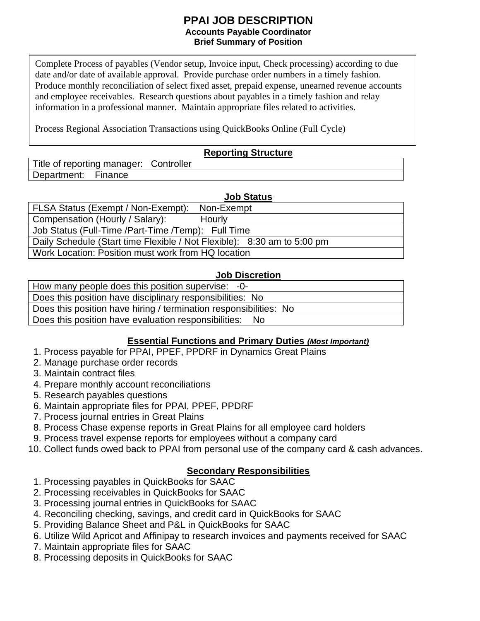#### **PPAI JOB DESCRIPTION Accounts Payable Coordinator Brief Summary of Position**

Complete Process of payables (Vendor setup, Invoice input, Check processing) according to due date and/or date of available approval. Provide purchase order numbers in a timely fashion. Produce monthly reconciliation of select fixed asset, prepaid expense, unearned revenue accounts and employee receivables. Research questions about payables in a timely fashion and relay information in a professional manner. Maintain appropriate files related to activities.

Process Regional Association Transactions using QuickBooks Online (Full Cycle)

### **Reporting Structure**

Title of reporting manager: Controller Department: Finance

#### **Job Status**

| FLSA Status (Exempt / Non-Exempt):<br>Non-Exempt                        |
|-------------------------------------------------------------------------|
| Compensation (Hourly / Salary):<br>Hourly                               |
| Job Status (Full-Time /Part-Time /Temp): Full Time                      |
| Daily Schedule (Start time Flexible / Not Flexible): 8:30 am to 5:00 pm |
| Work Location: Position must work from HQ location                      |

#### **Job Discretion**

How many people does this position supervise: -0-

Does this position have disciplinary responsibilities: No

Does this position have hiring / termination responsibilities: No

Does this position have evaluation responsibilities: No

### **Essential Functions and Primary Duties** *(Most Important)*

- 1. Process payable for PPAI, PPEF, PPDRF in Dynamics Great Plains
- 2. Manage purchase order records
- 3. Maintain contract files
- 4. Prepare monthly account reconciliations
- 5. Research payables questions
- 6. Maintain appropriate files for PPAI, PPEF, PPDRF
- 7. Process journal entries in Great Plains
- 8. Process Chase expense reports in Great Plains for all employee card holders
- 9. Process travel expense reports for employees without a company card
- 10. Collect funds owed back to PPAI from personal use of the company card & cash advances.

### **Secondary Responsibilities**

- 1. Processing payables in QuickBooks for SAAC
- 2. Processing receivables in QuickBooks for SAAC
- 3. Processing journal entries in QuickBooks for SAAC
- 4. Reconciling checking, savings, and credit card in QuickBooks for SAAC
- 5. Providing Balance Sheet and P&L in QuickBooks for SAAC
- 6. Utilize Wild Apricot and Affinipay to research invoices and payments received for SAAC
- 7. Maintain appropriate files for SAAC
- 8. Processing deposits in QuickBooks for SAAC